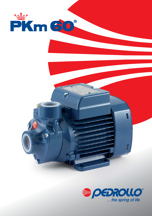

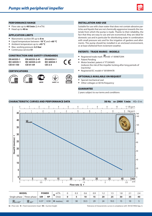

#### **PERFORMANCE RANGE**

- Flow rate up to **40 l/min**  $(2.4 \text{ m}^3/\text{h})$ <br>• Head up to **40 m**
- **•** Head up to **40 m**

### **APPLICATION LIMITS**

- **•** Manometric suction lift up to **8 m**
- **•** Liquid temperature between **-10 °C** and **+60 °C**
- **•** Ambient temperature up to **+45 °C**
- **•** Max. working pressure: **6.5 bar**
- **•** Continuous service **S1**

## **CONSTRUCTION AND SAFETY STANDARDS**

| <b>EN 60335-1</b>  | EN 60335-2-41  |
|--------------------|----------------|
| <b>IEC 60335-1</b> | IEC 60335-2-41 |
| CEL 61.150         | CFT 21 20      |

```
CEI 61-150
      IEC 60335-2-41
     CEI 61-69
```
# **CERTIFICATIONS**







**EN 60034-1 IEC 60034-1 CEI 2-3**

**ПРОМТЕСТ - 168** 



 $C<sub>f</sub>$ 

## **INSTALLATION AND USE**

Suitable for use with clean water that does not contain abrasive particles and liquids that are not chemically aggressive towards the materials from which the pump is made. Thanks to their reliability, the fact that they are easy to use and are economical, they are ideal for domestic use and in particular for distributing water in combination with small pressure sets and for the irrigation of gardens and allotments. The pump should be installed in an enclosed environment, or at least sheltered from inclement weather.

## **PATENTS - TRADE MARKS - MODELS**

- **•** Registered trade mark PKm60 n° 009875394
- Patent Pending<br>• Motor bracket:
- **•** Motor bracket: patent n° IT1243605 (reduces the risk of the impeller locking after long periods of inactivity)
- **•** Registered EC model n° 001894478

## **OPTIONALS AVAILABLE ON REQUEST**

- **•** Special mechanical seal
- **•** Other voltages or 60 Hz frequency

# **GUARANTEE**

2 years subject to our terms and conditions

#### **CHARACTERISTIC CURVES AND PERFORMANCE DATA** 50 **Hz n= 2900 1/min** HS= 0 m US g.p.m. 0 1 2 3 4 5 6 7 8 9 10 11 0123456789 Imp g.p.m. **45** feet 140 **40 PKm60** 120 **35** 100 **30 Head H (metres)**  Head H (metres) **25** 80 **20** 60 **15** 40 **10** 20 **5 0 5 10 15 20 25 30 35 40 <sup>0</sup>** 0 0 1 **l/min**  $m<sup>3</sup>/h$ 0 0 0.5 1 1.5 2 2.5 2.5 **Flow rate Q**

| <b>MODEL</b>                                      |                             | <b>POWER</b> |           | 3 A<br>$m^2/h$ |    | 0.3 | 0.6  | 0.9 | $\cdot$ . $\sim$ | ر. ا | ه. ا |    | $\sim$ |
|---------------------------------------------------|-----------------------------|--------------|-----------|----------------|----|-----|------|-----|------------------|------|------|----|--------|
| Single-phase                                      | Three-phase                 | kW           | <b>HP</b> | l/min          |    |     | 10   | 15  | 20               | 25   | 30   | 35 | 40     |
| سمعية<br>$\overline{\text{PK}}$ m 60 <sup>®</sup> | سيتيه<br>PK 60 <sup>®</sup> | 0.37         | 0.50      | H metres       | 40 | 38  | 33.5 | 29  | 24               | 19.5 | ' -  | 10 |        |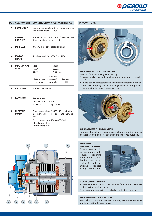

# **POS. COMPONENT CONSTRUCTION CHARACTERISTICS**

| <b>PUMP BODY</b> | Cast iron, complete with threaded ports in |
|------------------|--------------------------------------------|
|                  | compliance with ISO 228/1                  |

- **2 MOTOR BRACKET** Aluminium with brass insert (patented), reduces the risk of impeller seizure
- **3 IMPELLER** Brass, with peripheral radial vanes
- **4 MOTOR SHAFT** Stainless steel EN 10088-3 - 1.4104
- **5 MECHANICAL SEAL** *Seal Shaft Model Diameter* **AR-12 Ø 12** mm **Materials** Stationary ring Rotational ring Elastomer Ceramic Graphite NBR
- **6 BEARINGS** *Model: 2 x* **6201 ZZ**

|   | <b>CAPACITOR</b>                | <b>Capacitance</b>                                                                                         |
|---|---------------------------------|------------------------------------------------------------------------------------------------------------|
|   |                                 | (230 V or 240 V)<br>(110 V)                                                                                |
|   |                                 | 10 $\mu$ F 450 VL<br>25 µF 250 VL                                                                          |
| ឧ | <b>ELECTRIC</b><br><b>MOTOR</b> | <b>PKm</b> : single-phase 230 V - 50 Hz with ther-<br>mal overload protector built-in to the wind-<br>ing. |
|   |                                 | three-phase 230/400 V - 50 Hz.<br>PK:<br>$-$ Insulation: $\overline{F}$ class.<br>$-$ Protection: IPX4.    |



### **INNOVATIONS**



#### **IMPROVED ANTI-SEIZURE SYSTEM**

Freedom from seizure is guaranteed by:

- **•** Motor bracket in aluminium incorporating patented brass insert
- **•** Pump body electrostatically powder coated internally and externally with epoxy powder and polymerization at hight temperature for increased resistance to rust.



#### **IMPROVED IMPELLER LOCATION**

New patented splined coupling system for locating the impeller on the shaft giving quieter operation and improved durability

#### **IMPROVED EFFICIENCY MOTOR**

A new concept in electric motors with reduced operating temperature (-20°C) that improves the operating life, and better efficiency for reduced energy consumption.



### **MORE COMPACT DESIGN**

- **•** More compact but with the same performance and connections as the previous model
- **•** Allows more pumps to be packed per shipping container

#### **IMPROVED PAINT PROTECTION**

New paint process with resistance to aggressive environments four times better than previously